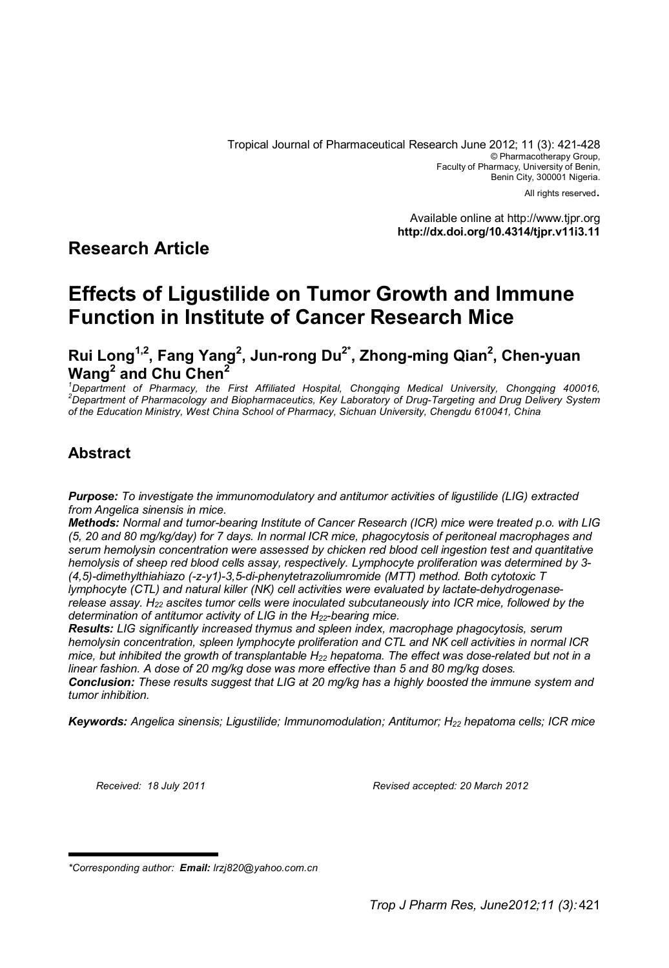All rights reserved.

Available online at http://www.tjpr.org **http://dx.doi.org/10.4314/tjpr.v11i3.11**

# **Research Article**

# **Effects of Ligustilide on Tumor Growth and Immune Function in Institute of Cancer Research Mice**

**Rui Long1,2, Fang Yang<sup>2</sup> , Jun-rong Du2\*, Zhong-ming Qian<sup>2</sup> , Chen-yuan Wang<sup>2</sup> and Chu Chen<sup>2</sup>**

*<sup>1</sup>Department of Pharmacy, the First Affiliated Hospital, Chongqing Medical University, Chongqing 400016, <sup>2</sup>Department of Pharmacology and Biopharmaceutics, Key Laboratory of Drug-Targeting and Drug Delivery System of the Education Ministry, West China School of Pharmacy, Sichuan University, Chengdu 610041, China*

# **Abstract**

*Purpose: To investigate the immunomodulatory and antitumor activities of ligustilide (LIG) extracted from Angelica sinensis in mice.*

*Methods: Normal and tumor-bearing Institute of Cancer Research (ICR) mice were treated p.o. with LIG (5, 20 and 80 mg/kg/day) for 7 days. In normal ICR mice, phagocytosis of peritoneal macrophages and serum hemolysin concentration were assessed by chicken red blood cell ingestion test and quantitative hemolysis of sheep red blood cells assay, respectively. Lymphocyte proliferation was determined by 3- (4,5)-dimethylthiahiazo (-z-y1)-3,5-di-phenytetrazoliumromide (MTT) method. Both cytotoxic T lymphocyte (CTL) and natural killer (NK) cell activities were evaluated by lactate-dehydrogenaserelease assay. H22 ascites tumor cells were inoculated subcutaneously into ICR mice, followed by the determination of antitumor activity of LIG in the H22-bearing mice.* 

*Results: LIG significantly increased thymus and spleen index, macrophage phagocytosis, serum hemolysin concentration, spleen lymphocyte proliferation and CTL and NK cell activities in normal ICR mice, but inhibited the growth of transplantable H22 hepatoma. The effect was dose-related but not in a linear fashion. A dose of 20 mg/kg dose was more effective than 5 and 80 mg/kg doses.* 

*Conclusion: These results suggest that LIG at 20 mg/kg has a highly boosted the immune system and tumor inhibition.*

*Keywords: Angelica sinensis; Ligustilide; Immunomodulation; Antitumor; H22 hepatoma cells; ICR mice*

*Received: 18 July 2011 Revised accepted: 20 March 2012*

*<sup>\*</sup>Corresponding author: Email: lrzj820@yahoo.com.cn*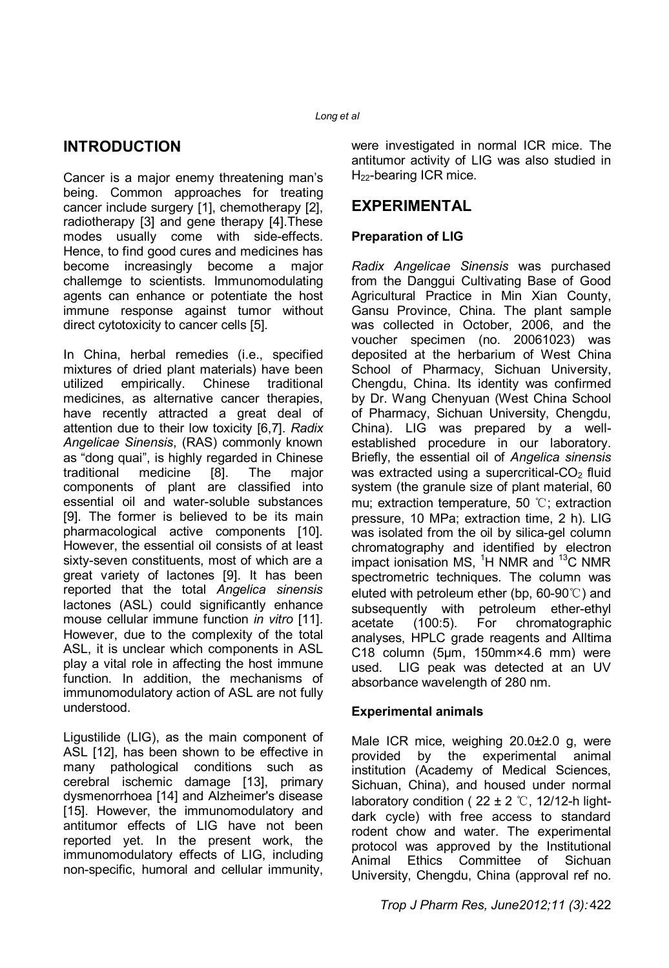# **INTRODUCTION**

Cancer is a major enemy threatening man's being. Common approaches for treating cancer include surgery [1], chemotherapy [2], radiotherapy [3] and gene therapy [4].These modes usually come with side-effects. Hence, to find good cures and medicines has become increasingly become a major challemge to scientists. Immunomodulating agents can enhance or potentiate the host immune response against tumor without direct cytotoxicity to cancer cells [5].

In China, herbal remedies (i.e., specified mixtures of dried plant materials) have been utilized empirically. Chinese traditional medicines, as alternative cancer therapies, have recently attracted a great deal of attention due to their low toxicity [6,7]. *Radix Angelicae Sinensis*, (RAS) commonly known as "dong quai", is highly regarded in Chinese traditional medicine [8]. The major components of plant are classified into essential oil and water-soluble substances [9]. The former is believed to be its main pharmacological active components [10]. However, the essential oil consists of at least sixty-seven constituents, most of which are a great variety of lactones [9]. It has been reported that the total *Angelica sinensis* lactones (ASL) could significantly enhance mouse cellular immune function *in vitro* [11]. However, due to the complexity of the total ASL, it is unclear which components in ASL play a vital role in affecting the host immune function. In addition, the mechanisms of immunomodulatory action of ASL are not fully understood.

Ligustilide (LIG), as the main component of ASL [12], has been shown to be effective in many pathological conditions such as cerebral ischemic damage [13], primary dysmenorrhoea [14] and Alzheimer's disease [15]. However, the immunomodulatory and antitumor effects of LIG have not been reported yet. In the present work, the immunomodulatory effects of LIG, including non-specific, humoral and cellular immunity,

were investigated in normal ICR mice. The antitumor activity of LIG was also studied in H<sub>22</sub>-bearing ICR mice.

# **EXPERIMENTAL**

### **Preparation of LIG**

*Radix Angelicae Sinensis* was purchased from the Danggui Cultivating Base of Good Agricultural Practice in Min Xian County, Gansu Province, China. The plant sample was collected in October, 2006, and the voucher specimen (no. 20061023) was deposited at the herbarium of West China School of Pharmacy, Sichuan University, Chengdu, China. Its identity was confirmed by Dr. Wang Chenyuan (West China School of Pharmacy, Sichuan University, Chengdu, China). LIG was prepared by a wellestablished procedure in our laboratory. Briefly, the essential oil of *Angelica sinensis*  was extracted using a supercritical- $CO<sub>2</sub>$  fluid system (the granule size of plant material, 60 mu; extraction temperature, 50 ℃; extraction pressure, 10 MPa; extraction time, 2 h). LIG was isolated from the oil by silica-gel column chromatography and identified by electron impact ionisation MS,  ${}^{1}$ H NMR and  ${}^{13}$ C NMR spectrometric techniques. The column was eluted with petroleum ether (bp, 60-90℃) and subsequently with petroleum ether-ethyl acetate (100:5). For chromatographic analyses, HPLC grade reagents and Alltima C18 column (5μm, 150mm×4.6 mm) were used. LIG peak was detected at an UV absorbance wavelength of 280 nm.

#### **Experimental animals**

Male ICR mice, weighing 20.0±2.0 g, were provided by the experimental animal institution (Academy of Medical Sciences, Sichuan, China), and housed under normal laboratory condition ( $22 \pm 2$  °C, 12/12-h lightdark cycle) with free access to standard rodent chow and water. The experimental protocol was approved by the Institutional Animal Ethics Committee of Sichuan University, Chengdu, China (approval ref no.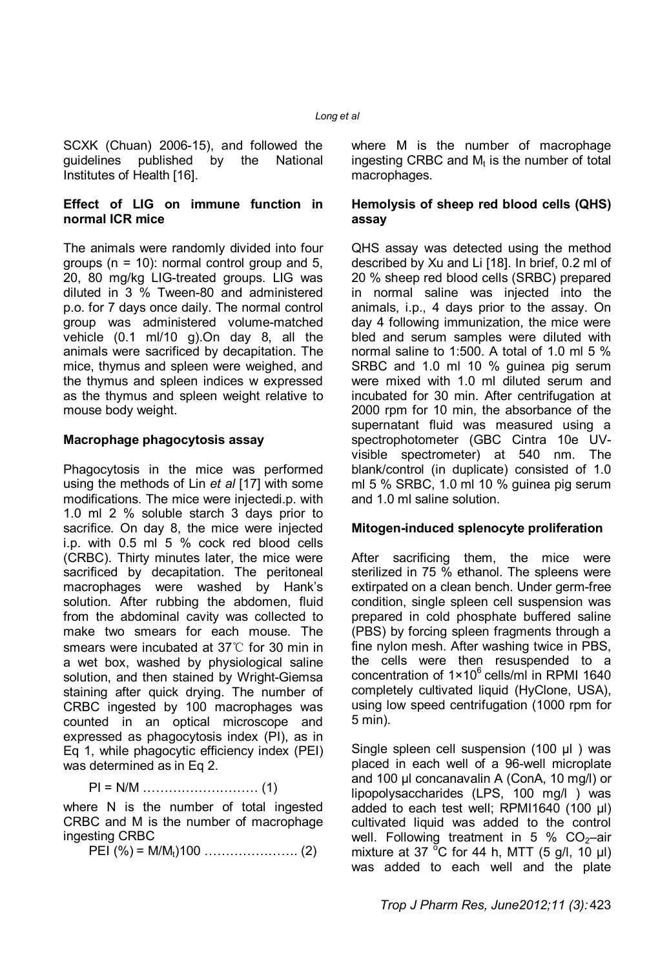SCXK (Chuan) 2006-15), and followed the guidelines published by the National Institutes of Health [16].

#### **Effect of LIG on immune function in normal ICR mice**

The animals were randomly divided into four groups ( $n = 10$ ): normal control group and 5, 20, 80 mg/kg LIG-treated groups. LIG was diluted in 3 % Tween-80 and administered p.o. for 7 days once daily. The normal control group was administered volume-matched vehicle (0.1 ml/10 g).On day 8, all the animals were sacrificed by decapitation. The mice, thymus and spleen were weighed, and the thymus and spleen indices w expressed as the thymus and spleen weight relative to mouse body weight.

#### **Macrophage phagocytosis assay**

Phagocytosis in the mice was performed using the methods of Lin *et al* [17] with some modifications. The mice were injectedi.p. with 1.0 ml 2 % soluble starch 3 days prior to sacrifice. On day 8, the mice were injected i.p. with 0.5 ml 5 % cock red blood cells (CRBC). Thirty minutes later, the mice were sacrificed by decapitation. The peritoneal macrophages were washed by Hank's solution. After rubbing the abdomen, fluid from the abdominal cavity was collected to make two smears for each mouse. The smears were incubated at 37℃ for 30 min in a wet box, washed by physiological saline solution, and then stained by Wright-Giemsa staining after quick drying. The number of CRBC ingested by 100 macrophages was counted in an optical microscope and expressed as phagocytosis index (PI), as in Eq 1, while phagocytic efficiency index (PEI) was determined as in Eq 2.

PI = N/M ……………………… (1)

where N is the number of total ingested CRBC and M is the number of macrophage ingesting CRBC

PEI (%) = M/Mt)100 …………………. (2)

where M is the number of macrophage ingesting CRBC and  $M_t$  is the number of total macrophages.

#### **Hemolysis of sheep red blood cells (QHS) assay**

QHS assay was detected using the method described by Xu and Li [18]. In brief, 0.2 ml of 20 % sheep red blood cells (SRBC) prepared in normal saline was injected into the animals, i.p., 4 days prior to the assay. On day 4 following immunization, the mice were bled and serum samples were diluted with normal saline to 1:500. A total of 1.0 ml 5 % SRBC and 1.0 ml 10 % guinea pig serum were mixed with 1.0 ml diluted serum and incubated for 30 min. After centrifugation at 2000 rpm for 10 min, the absorbance of the supernatant fluid was measured using a spectrophotometer (GBC Cintra 10e UVvisible spectrometer) at 540 nm. The blank/control (in duplicate) consisted of 1.0 ml 5 % SRBC, 1.0 ml 10 % guinea pig serum and 1.0 ml saline solution.

#### **Mitogen-induced splenocyte proliferation**

After sacrificing them, the mice were sterilized in 75 % ethanol. The spleens were extirpated on a clean bench. Under germ-free condition, single spleen cell suspension was prepared in cold phosphate buffered saline (PBS) by forcing spleen fragments through a fine nylon mesh. After washing twice in PBS, the cells were then resuspended to a concentration of  $1 \times 10^6$  cells/ml in RPMI 1640 completely cultivated liquid (HyClone, USA), using low speed centrifugation (1000 rpm for 5 min).

Single spleen cell suspension (100 μl ) was placed in each well of a 96-well microplate and 100 μl concanavalin A (ConA, 10 mg/l) or lipopolysaccharides (LPS, 100 mg/l ) was added to each test well; RPMI1640 (100 μl) cultivated liquid was added to the control well. Following treatment in 5 %  $CO<sub>2</sub>$ -air mixture at 37 °C for 44 h, MTT (5 g/l, 10  $\mu$ l) was added to each well and the plate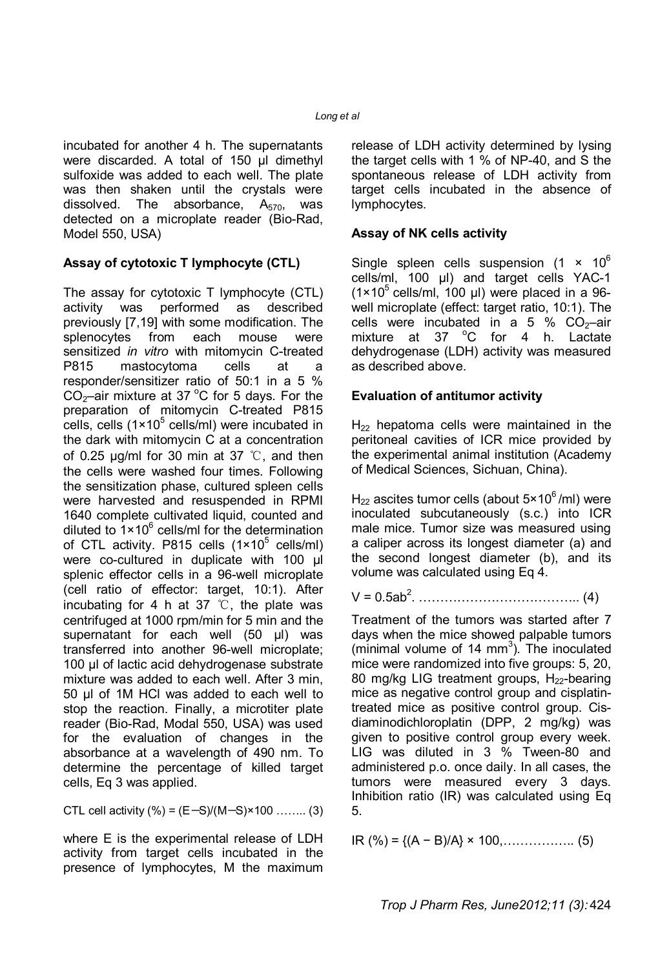incubated for another 4 h. The supernatants were discarded. A total of 150 μl dimethyl sulfoxide was added to each well. The plate was then shaken until the crystals were dissolved. The absorbance,  $A_{570}$ , was detected on a microplate reader (Bio-Rad, Model 550, USA)

### **Assay of cytotoxic T lymphocyte (CTL)**

The assay for cytotoxic T lymphocyte (CTL) activity was performed as described previously [7,19] with some modification. The splenocytes from each mouse were sensitized *in vitro* with mitomycin C-treated P815 mastocytoma cells at a responder/sensitizer ratio of 50:1 in a 5 %  $CO<sub>2</sub>$ –air mixture at 37 °C for 5 days. For the preparation of mitomycin C-treated P815 cells, cells (1×10<sup>5</sup> cells/ml) were incubated in the dark with mitomycin C at a concentration of 0.25 μg/ml for 30 min at 37 ℃, and then the cells were washed four times. Following the sensitization phase, cultured spleen cells were harvested and resuspended in RPMI 1640 complete cultivated liquid, counted and diluted to  $1 \times 10^6$  cells/ml for the determination of CTL activity. P815 cells  $(1 \times 10^5 \text{ cells/ml})$ were co-cultured in duplicate with 100 μl splenic effector cells in a 96-well microplate (cell ratio of effector: target, 10:1). After incubating for 4 h at 37 ℃, the plate was centrifuged at 1000 rpm/min for 5 min and the supernatant for each well (50 ul) was transferred into another 96-well microplate; 100 µl of lactic acid dehydrogenase substrate mixture was added to each well. After 3 min, 50 µl of 1M HCl was added to each well to stop the reaction. Finally, a microtiter plate reader (Bio-Rad, Modal 550, USA) was used for the evaluation of changes in the absorbance at a wavelength of 490 nm. To determine the percentage of killed target cells, Eq 3 was applied.

CTL cell activity  $%$  =  $(E-S)/(M-S)$  × 100 …….. (3)

where E is the experimental release of LDH activity from target cells incubated in the presence of lymphocytes, M the maximum release of LDH activity determined by lysing the target cells with 1 % of NP-40, and S the spontaneous release of LDH activity from target cells incubated in the absence of lymphocytes.

#### **Assay of NK cells activity**

Single spleen cells suspension  $(1 \times 10^6)$ cells/ml, 100 μl) and target cells YAC-1  $(1\times10^5 \text{ cells/ml}, 100 \text{ µ})$  were placed in a 96well microplate (effect: target ratio, 10:1). The cells were incubated in a 5 %  $CO<sub>2</sub>$ -air mixture at 37  $^{\circ}$ C for 4 h. Lactate dehydrogenase (LDH) activity was measured as described above.

#### **Evaluation of antitumor activity**

 $H_{22}$  hepatoma cells were maintained in the peritoneal cavities of ICR mice provided by the experimental animal institution (Academy of Medical Sciences, Sichuan, China).

 $H_{22}$  ascites tumor cells (about 5×10<sup>6</sup>/ml) were inoculated subcutaneously (s.c.) into ICR male mice. Tumor size was measured using a caliper across its longest diameter (a) and the second longest diameter (b), and its volume was calculated using Eq 4.

V = 0.5ab<sup>2</sup> . ……………………………….. (4)

Treatment of the tumors was started after 7 days when the mice showed palpable tumors  $(\text{minimal volume of 14 mm}^3)$ . The inoculated mice were randomized into five groups: 5, 20, 80 mg/kg LIG treatment groups,  $H_{22}$ -bearing mice as negative control group and cisplatintreated mice as positive control group. Cisdiaminodichloroplatin (DPP, 2 mg/kg) was given to positive control group every week. LIG was diluted in 3 % Tween-80 and administered p.o. once daily. In all cases, the tumors were measured every 3 days. Inhibition ratio (IR) was calculated using Eq 5.

IR (%) = {(A − B)/A} × 100,…………….. (5)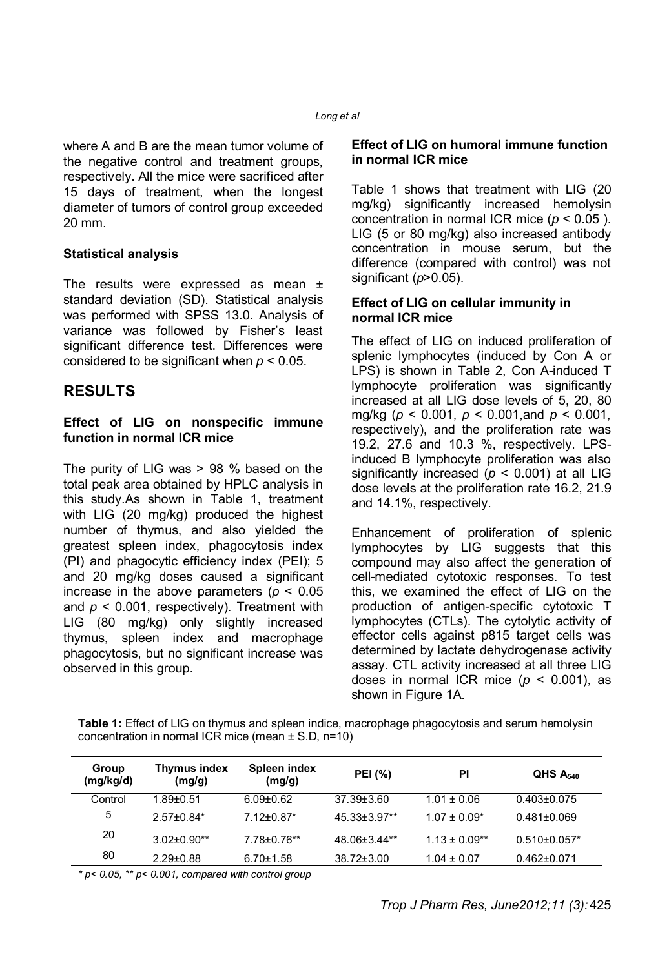where A and B are the mean tumor volume of the negative control and treatment groups, respectively. All the mice were sacrificed after 15 days of treatment, when the longest diameter of tumors of control group exceeded 20 mm.

#### **Statistical analysis**

The results were expressed as mean ± standard deviation (SD). Statistical analysis was performed with SPSS 13.0. Analysis of variance was followed by Fisher's least significant difference test. Differences were considered to be significant when *p* < 0.05.

### **RESULTS**

#### **Effect of LIG on nonspecific immune function in normal ICR mice**

The purity of LIG was > 98 % based on the total peak area obtained by HPLC analysis in this study.As shown in Table 1, treatment with LIG (20 mg/kg) produced the highest number of thymus, and also yielded the greatest spleen index, phagocytosis index (PI) and phagocytic efficiency index (PEI); 5 and 20 mg/kg doses caused a significant increase in the above parameters ( $p < 0.05$ ) and  $p < 0.001$ , respectively). Treatment with LIG (80 mg/kg) only slightly increased thymus, spleen index and macrophage phagocytosis, but no significant increase was observed in this group.

#### **Effect of LIG on humoral immune function in normal ICR mice**

Table 1 shows that treatment with LIG (20 mg/kg) significantly increased hemolysin concentration in normal ICR mice (*p* < 0.05 ). LIG (5 or 80 mg/kg) also increased antibody concentration in mouse serum, but the difference (compared with control) was not significant (*p*>0.05).

#### **Effect of LIG on cellular immunity in normal ICR mice**

The effect of LIG on induced proliferation of splenic lymphocytes (induced by Con A or LPS) is shown in Table 2, Con A-induced T lymphocyte proliferation was significantly increased at all LIG dose levels of 5, 20, 80 mg/kg (*p* < 0.001, *p* < 0.001,and *p* < 0.001, respectively), and the proliferation rate was 19.2, 27.6 and 10.3 %, respectively. LPSinduced B lymphocyte proliferation was also significantly increased (*p* < 0.001) at all LIG dose levels at the proliferation rate 16.2, 21.9 and 14.1%, respectively.

Enhancement of proliferation of splenic lymphocytes by LIG suggests that this compound may also affect the generation of cell-mediated cytotoxic responses. To test this, we examined the effect of LIG on the production of antigen-specific cytotoxic T lymphocytes (CTLs). The cytolytic activity of effector cells against p815 target cells was determined by lactate dehydrogenase activity assay. CTL activity increased at all three LIG doses in normal ICR mice (*p* < 0.001), as shown in Figure 1A.

**Table 1:** Effect of LIG on thymus and spleen indice, macrophage phagocytosis and serum hemolysin concentration in normal ICR mice (mean  $\pm$  S.D, n=10)

| Group<br>(mg/kg/d) | <b>Thymus index</b><br>(mg/g) | Spleen index<br>(mg/g) | <b>PEI</b> (%)     | PI                | QHS A <sub>540</sub> |
|--------------------|-------------------------------|------------------------|--------------------|-------------------|----------------------|
| Control            | $1.89 + 0.51$                 | $6.09 \pm 0.62$        | $37.39 \pm 3.60$   | $1.01 \pm 0.06$   | $0.403 \pm 0.075$    |
| 5                  | $2.57 \pm 0.84*$              | 7.12+0.87*             | $45.33 \pm 3.97**$ | $1.07 \pm 0.09*$  | $0.481 \pm 0.069$    |
| 20                 | $3.02 \pm 0.90$ **            | $7.78 \pm 0.76$ **     | 48.06±3.44**       | $1.13 \pm 0.09**$ | $0.510\pm0.057*$     |
| 80                 | $2.29 \pm 0.88$               | $6.70 \pm 1.58$        | $38.72 \pm 3.00$   | $1.04 \pm 0.07$   | $0.462 \pm 0.071$    |

*\* p< 0.05, \*\* p< 0.001, compared with control group*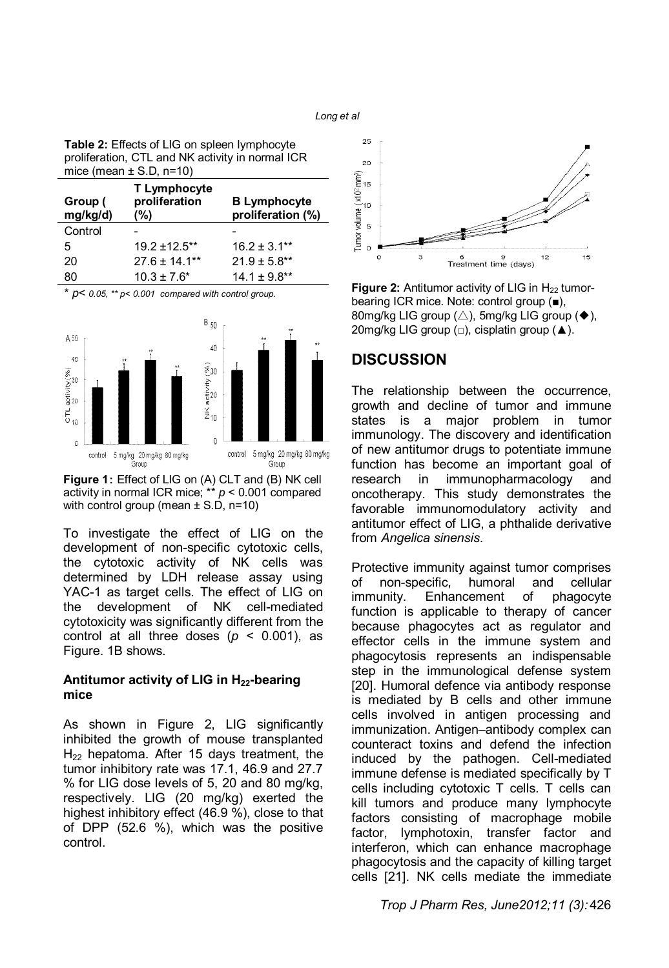**Table 2:** Effects of LIG on spleen lymphocyte proliferation, CTL and NK activity in normal ICR mice (mean  $\pm$  S.D, n=10)

| Group (<br>mg/kg/d) | T Lymphocyte<br>proliferation<br>$(\% )$ | <b>B Lymphocyte</b><br>proliferation (%) |
|---------------------|------------------------------------------|------------------------------------------|
| Control             |                                          |                                          |
| 5                   | $19.2 \pm 12.5$ **                       | $16.2 \pm 3.1***$                        |
| 20                  | $27.6 \pm 14.1***$                       | $21.9 \pm 5.8**$                         |
| 80                  | $10.3 \pm 7.6^*$                         | $14.1 \pm 9.8**$                         |

\* *p*< *0.05, \*\* p< 0.001 compared with control group.*



**Figure 1:** Effect of LIG on (A) CLT and (B) NK cell activity in normal ICR mice; \*\* *p* < 0.001 compared with control group (mean  $\pm$  S.D, n=10)

To investigate the effect of LIG on the development of non-specific cytotoxic cells, the cytotoxic activity of NK cells was determined by LDH release assay using YAC-1 as target cells. The effect of LIG on the development of NK cell-mediated cytotoxicity was significantly different from the control at all three doses (*p* < 0.001), as Figure. 1B shows.

#### **Antitumor activity of LIG in H22-bearing mice**

As shown in Figure 2, LIG significantly inhibited the growth of mouse transplanted  $H_{22}$  hepatoma. After 15 days treatment, the tumor inhibitory rate was 17.1, 46.9 and 27.7 % for LIG dose levels of 5, 20 and 80 mg/kg, respectively. LIG (20 mg/kg) exerted the highest inhibitory effect (46.9 %), close to that of DPP (52.6 %), which was the positive control.



**Figure 2:** Antitumor activity of LIG in H<sub>22</sub> tumorbearing ICR mice. Note: control group (■), 80mg/kg LIG group  $(\triangle)$ , 5mg/kg LIG group  $(\blacklozenge)$ , 20mg/kg LIG group (□), cisplatin group (▲).

#### **DISCUSSION**

The relationship between the occurrence, growth and decline of tumor and immune states is a major problem in tumor immunology. The discovery and identification of new antitumor drugs to potentiate immune function has become an important goal of research in immunopharmacology and oncotherapy. This study demonstrates the favorable immunomodulatory activity and antitumor effect of LIG, a phthalide derivative from *Angelica sinensis*.

Protective immunity against tumor comprises of non-specific, humoral and cellular immunity. Enhancement of phagocyte function is applicable to therapy of cancer because phagocytes act as regulator and effector cells in the immune system and phagocytosis represents an indispensable step in the immunological defense system [20]. Humoral defence via antibody response is mediated by B cells and other immune cells involved in antigen processing and immunization. Antigen–antibody complex can counteract toxins and defend the infection induced by the pathogen. Cell-mediated immune defense is mediated specifically by T cells including cytotoxic T cells. T cells can kill tumors and produce many lymphocyte factors consisting of macrophage mobile factor, lymphotoxin, transfer factor and interferon, which can enhance macrophage phagocytosis and the capacity of killing target cells [21]. NK cells mediate the immediate

#### *Trop J Pharm Res, June2012;11 (3):* 426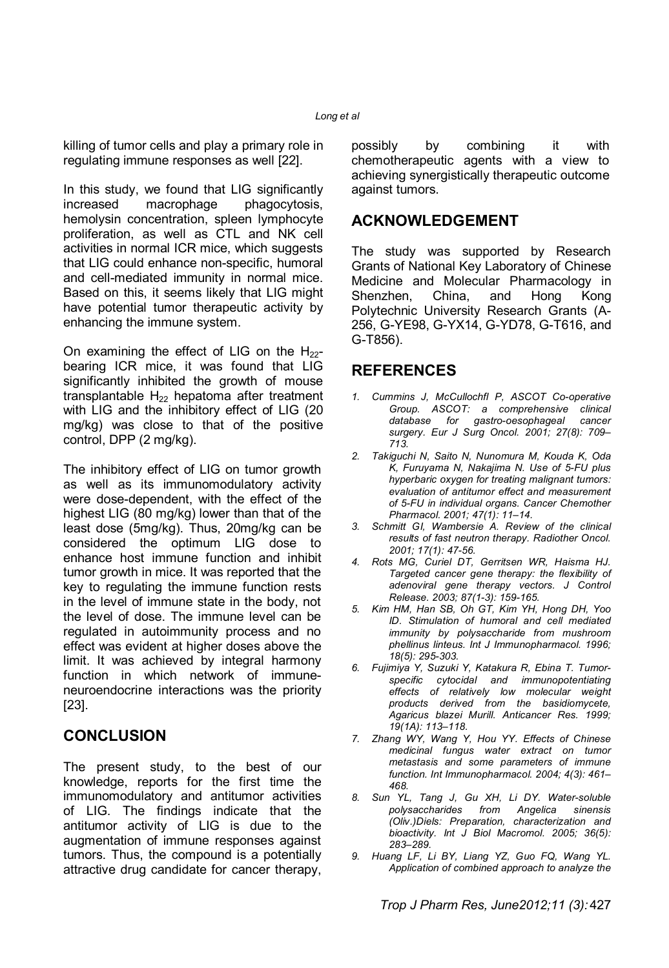killing of tumor cells and play a primary role in regulating immune responses as well [22].

In this study, we found that LIG significantly increased macrophage phagocytosis, hemolysin concentration, spleen lymphocyte proliferation, as well as CTL and NK cell activities in normal ICR mice, which suggests that LIG could enhance non-specific, humoral and cell-mediated immunity in normal mice. Based on this, it seems likely that LIG might have potential tumor therapeutic activity by enhancing the immune system.

On examining the effect of LIG on the  $H_{22}$ bearing ICR mice, it was found that LIG significantly inhibited the growth of mouse transplantable  $H_{22}$  hepatoma after treatment with LIG and the inhibitory effect of LIG (20 mg/kg) was close to that of the positive control, DPP (2 mg/kg).

The inhibitory effect of LIG on tumor growth as well as its immunomodulatory activity were dose-dependent, with the effect of the highest LIG (80 mg/kg) lower than that of the least dose (5mg/kg). Thus, 20mg/kg can be considered the optimum LIG dose to enhance host immune function and inhibit tumor growth in mice. It was reported that the key to regulating the immune function rests in the level of immune state in the body, not the level of dose. The immune level can be regulated in autoimmunity process and no effect was evident at higher doses above the limit. It was achieved by integral harmony function in which network of immuneneuroendocrine interactions was the priority [23].

### **CONCLUSION**

The present study, to the best of our knowledge, reports for the first time the immunomodulatory and antitumor activities of LIG. The findings indicate that the antitumor activity of LIG is due to the augmentation of immune responses against tumors. Thus, the compound is a potentially attractive drug candidate for cancer therapy,

possibly by combining it with chemotherapeutic agents with a view to achieving synergistically therapeutic outcome against tumors.

# **ACKNOWLEDGEMENT**

The study was supported by Research Grants of National Key Laboratory of Chinese Medicine and Molecular Pharmacology in Shenzhen, China, and Hong Kong Polytechnic University Research Grants (A-256, G-YE98, G-YX14, G-YD78, G-T616, and G-T856).

## **REFERENCES**

- *1. Cummins J, McCullochfl P, ASCOT Co-operative Group. ASCOT: a comprehensive clinical database for gastro-oesophageal cancer surgery. Eur J Surg Oncol. 2001; 27(8): 709– 713.*
- *2. Takiguchi N, Saito N, Nunomura M, Kouda K, Oda K, Furuyama N, Nakajima N. Use of 5-FU plus hyperbaric oxygen for treating malignant tumors: evaluation of antitumor effect and measurement of 5-FU in individual organs. Cancer Chemother Pharmacol. 2001; 47(1): 11–14.*
- *3. Schmitt GI, Wambersie A. Review of the clinical results of fast neutron therapy. Radiother Oncol. 2001; 17(1): 47-56.*
- *4. Rots MG, Curiel DT, Gerritsen WR, Haisma HJ. Targeted cancer gene therapy: the flexibility of adenoviral gene therapy vectors. J Control Release. 2003; 87(1-3): 159-165.*
- *5. Kim HM, Han SB, Oh GT, Kim YH, Hong DH, Yoo ID. Stimulation of humoral and cell mediated immunity by polysaccharide from mushroom phellinus linteus. Int J Immunopharmacol. 1996; 18(5): 295-303.*
- *6. Fujimiya Y, Suzuki Y, Katakura R, Ebina T. Tumorspecific cytocidal and immunopotentiating effects of relatively low molecular weight products derived from the basidiomycete, Agaricus blazei Murill. Anticancer Res. 1999; 19(1A): 113–118.*
- *7. Zhang WY, Wang Y, Hou YY. Effects of Chinese medicinal fungus water extract on tumor metastasis and some parameters of immune function. Int Immunopharmacol. 2004; 4(3): 461– 468.*
- *8. Sun YL, Tang J, Gu XH, Li DY. Water-soluble polysaccharides from Angelica sinensis (Oliv.)Diels: Preparation, characterization and bioactivity. Int J Biol Macromol. 2005; 36(5): 283–289.*
- *9. Huang LF, Li BY, Liang YZ, Guo FQ, Wang YL. Application of combined approach to analyze the*

*Trop J Pharm Res, June2012;11 (3):* 427